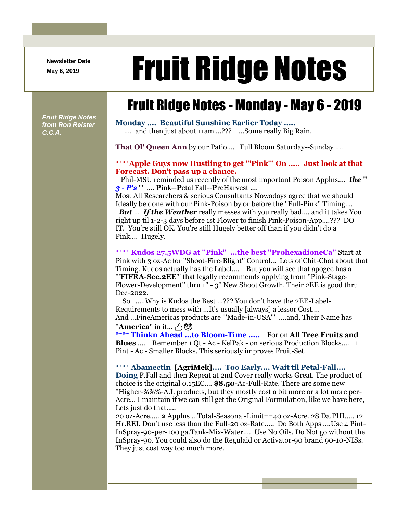**Newsletter Date**

# Newsletter Date **Fruit Ridge Notes**

## Fruit Ridge Notes - Monday - May 6 - 2019

*Fruit Ridge Notes from Ron Reister C.C.A.*

**Monday .... Beautiful Sunshine Earlier Today .....** .... and then just about 11am ...??? ...Some really Big Rain.

**That Ol' Queen Ann** by our Patio.... Full Bloom Saturday--Sunday ....

### **\*\*\*\*Apple Guys now Hustling to get '''Pink''' On ..... Just look at that Forecast. Don't pass up a chance.**

Phil-MSU reminded us recently of the most important Poison Applns.... *the* ''' *3 - P's* ''' .... **P**ink--**P**etal Fall--**P**reHarvest ....

Most All Researchers & serious Consultants Nowadays agree that we should Ideally be done with our Pink-Poison by or before the ''Full-Pink'' Timing....

*But* ... *If the Weather* really messes with you really bad.... and it takes You right up til 1-2-3 days before 1st Flower to finish Pink-Poison-App....??? DO IT. You're still OK. You're still Hugely better off than if you didn't do a Pink.... Hugely.

**\*\*\*\* Kudos 27.5WDG at ''Pink'' ...the best ''ProhexadioneCa''** Start at Pink with 3 oz-Ac for ''Shoot-Fire-Blight'' Control... Lots of Chit-Chat about that Timing. Kudos actually has the Label.... But you will see that apogee has a '''**FIFRA-Sec.2EE**''' that legally recommends applying from ''Pink-Stage-Flower-Development'' thru 1'' - 3'' New Shoot Growth. Their 2EE is good thru Dec-2022.

So .....Why is Kudos the Best ...??? You don't have the 2EE-Label-Requirements to mess with ...It's usually [always] a lessor Cost.... And ...FineAmericas products are '''Made-in-USA''' ....and, Their Name has  $'$ **America**" in it...  $\oplus$   $\otimes$ 

**\*\*\*\* Thinkn Ahead ...to Bloom-Time .....** For on **All Tree Fruits and Blues** .... Remember 1 Qt - Ac - KelPak - on serious Production Blocks.... 1 Pint - Ac - Smaller Blocks. This seriously improves Fruit-Set.

#### **\*\*\*\* Abamectin [AgriMek].... Too Early.... Wait til Petal-Fall....**

**Doing** P.Fall and then Repeat at 2nd Cover really works Great. The product of choice is the original 0.15EC.... **\$8.50**-Ac-Full-Rate. There are some new ''Higher-%%%-A.I. products, but they mostly cost a bit more or a lot more per-Acre... I maintain if we can still get the Original Formulation, like we have here, Lets just do that.....

20 oz-Acre..... **2** Applns ...Total-Seasonal-Limit==40 oz-Acre. 28 Da.PHI..... 12 Hr.REI. Don't use less than the Full-20 oz-Rate..... Do Both Apps ....Use 4 Pint-InSpray-90-per-100 ga.Tank-Mix-Water.... Use No Oils. Do Not go without the InSpray-90. You could also do the Regulaid or Activator-90 brand 90-10-NISs. They just cost way too much more.